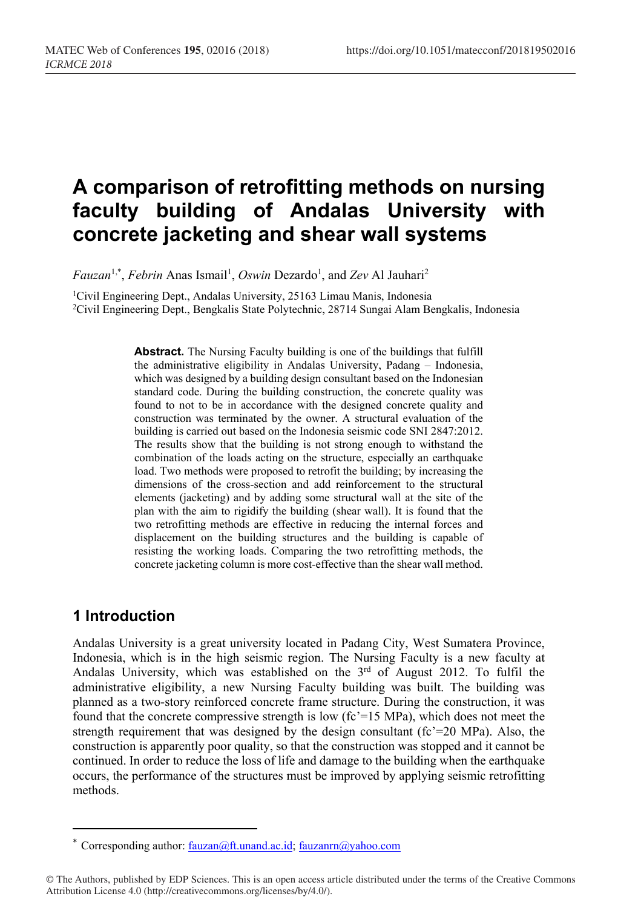# **A comparison of retrofitting methods on nursing faculty building of Andalas University with concrete jacketing and shear wall systems**

*Fauzan*<sup>1,\*</sup>, *Febrin* Anas Ismail<sup>1</sup>, *Oswin* Dezardo<sup>1</sup>, and *Zev* Al Jauhari<sup>2</sup>

<sup>1</sup>Civil Engineering Dept., Andalas University, 25163 Limau Manis, Indonesia<br><sup>2</sup>Civil Engineering Dept., Bengkalis State Polytechnic, 28714 Sungai Alam Bengkalis, Indonesia

**Abstract.** The Nursing Faculty building is one of the buildings that fulfill the administrative eligibility in Andalas University, Padang – Indonesia, which was designed by a building design consultant based on the Indonesian standard code. During the building construction, the concrete quality was found to not to be in accordance with the designed concrete quality and construction was terminated by the owner. A structural evaluation of the building is carried out based on the Indonesia seismic code SNI 2847:2012. The results show that the building is not strong enough to withstand the combination of the loads acting on the structure, especially an earthquake load. Two methods were proposed to retrofit the building; by increasing the dimensions of the cross-section and add reinforcement to the structural elements (jacketing) and by adding some structural wall at the site of the plan with the aim to rigidify the building (shear wall). It is found that the two retrofitting methods are effective in reducing the internal forces and displacement on the building structures and the building is capable of resisting the working loads. Comparing the two retrofitting methods, the concrete jacketing column is more cost-effective than the shear wall method.

# **1 Introduction**

ł

Andalas University is a great university located in Padang City, West Sumatera Province, Indonesia, which is in the high seismic region. The Nursing Faculty is a new faculty at Andalas University, which was established on the 3<sup>rd</sup> of August 2012. To fulfil the administrative eligibility, a new Nursing Faculty building was built. The building was planned as a two-story reinforced concrete frame structure. During the construction, it was found that the concrete compressive strength is low ( $fc' = 15 MPa$ ), which does not meet the strength requirement that was designed by the design consultant ( $fc' = 20 MPa$ ). Also, the construction is apparently poor quality, so that the construction was stopped and it cannot be continued. In order to reduce the loss of life and damage to the building when the earthquake occurs, the performance of the structures must be improved by applying seismic retrofitting methods.

<sup>\*</sup> Corresponding author:  $fauzan@ft.$ unand.ac.id;  $fauzanra@yahoo.com$ 

<sup>©</sup> The Authors, published by EDP Sciences. This is an open access article distributed under the terms of the Creative Commons Attribution License 4.0 (http://creativecommons.org/licenses/by/4.0/).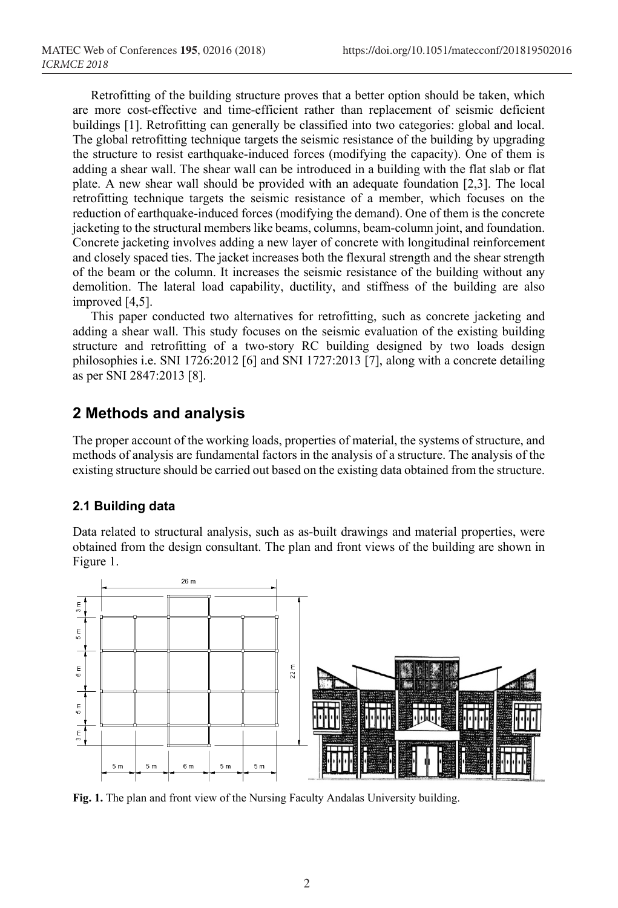Retrofitting of the building structure proves that a better option should be taken, which are more cost-effective and time-efficient rather than replacement of seismic deficient buildings [1]. Retrofitting can generally be classified into two categories: global and local. The global retrofitting technique targets the seismic resistance of the building by upgrading the structure to resist earthquake-induced forces (modifying the capacity). One of them is adding a shear wall. The shear wall can be introduced in a building with the flat slab or flat plate. A new shear wall should be provided with an adequate foundation [2,3]. The local retrofitting technique targets the seismic resistance of a member, which focuses on the reduction of earthquake-induced forces (modifying the demand). One of them is the concrete jacketing to the structural members like beams, columns, beam-column joint, and foundation. Concrete jacketing involves adding a new layer of concrete with longitudinal reinforcement and closely spaced ties. The jacket increases both the flexural strength and the shear strength of the beam or the column. It increases the seismic resistance of the building without any demolition. The lateral load capability, ductility, and stiffness of the building are also improved [4,5].

This paper conducted two alternatives for retrofitting, such as concrete jacketing and adding a shear wall. This study focuses on the seismic evaluation of the existing building structure and retrofitting of a two-story RC building designed by two loads design philosophies i.e. SNI 1726:2012 [6] and SNI 1727:2013 [7], along with a concrete detailing as per SNI 2847:2013 [8].

# **2 Methods and analysis**

The proper account of the working loads, properties of material, the systems of structure, and methods of analysis are fundamental factors in the analysis of a structure. The analysis of the existing structure should be carried out based on the existing data obtained from the structure.

#### **2.1 Building data**

Data related to structural analysis, such as as-built drawings and material properties, were obtained from the design consultant. The plan and front views of the building are shown in Figure 1.



**Fig. 1.** The plan and front view of the Nursing Faculty Andalas University building.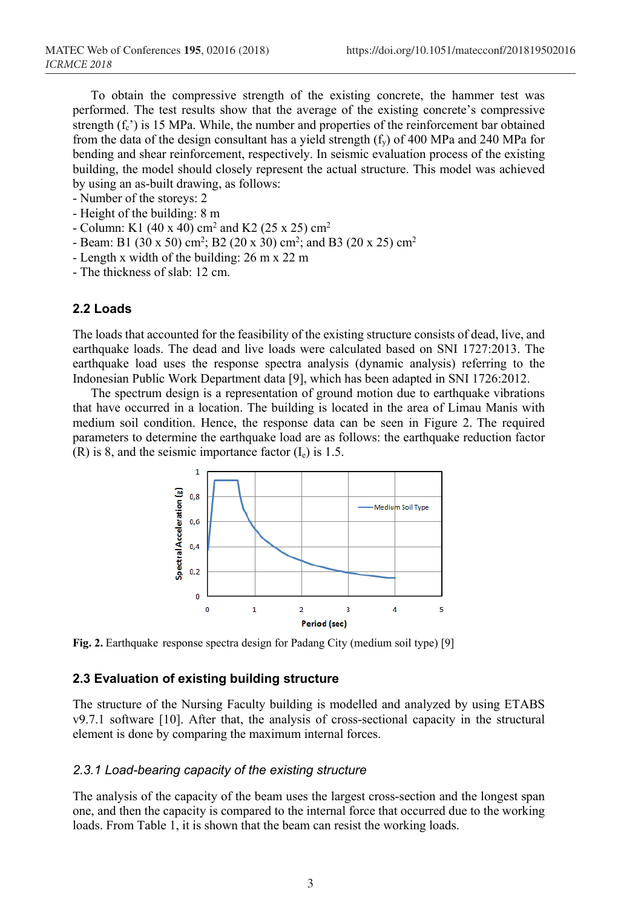To obtain the compressive strength of the existing concrete, the hammer test was performed. The test results show that the average of the existing concrete's compressive strength  $(f_c)$  is 15 MPa. While, the number and properties of the reinforcement bar obtained from the data of the design consultant has a yield strength  $(f_v)$  of 400 MPa and 240 MPa for bending and shear reinforcement, respectively. In seismic evaluation process of the existing building, the model should closely represent the actual structure. This model was achieved by using an as-built drawing, as follows:

- Number of the storeys: 2

- Height of the building: 8 m
- Column: K1 (40 x 40) cm<sup>2</sup> and K2 (25 x 25) cm<sup>2</sup>
- Beam: B1 (30 x 50) cm<sup>2</sup>; B2 (20 x 30) cm<sup>2</sup>; and B3 (20 x 25) cm<sup>2</sup>
- Length x width of the building: 26 m x 22 m
- The thickness of slab: 12 cm.

#### **2.2 Loads**

The loads that accounted for the feasibility of the existing structure consists of dead, live, and earthquake loads. The dead and live loads were calculated based on SNI 1727:2013. The earthquake load uses the response spectra analysis (dynamic analysis) referring to the Indonesian Public Work Department data [9], which has been adapted in SNI 1726:2012.

The spectrum design is a representation of ground motion due to earthquake vibrations that have occurred in a location. The building is located in the area of Limau Manis with medium soil condition. Hence, the response data can be seen in Figure 2. The required parameters to determine the earthquake load are as follows: the earthquake reduction factor  $(R)$  is 8, and the seismic importance factor  $(I_e)$  is 1.5.



**Fig. 2.** Earthquake response spectra design for Padang City (medium soil type) [9]

#### **2.3 Evaluation of existing building structure**

The structure of the Nursing Faculty building is modelled and analyzed by using ETABS v9.7.1 software [10]. After that, the analysis of cross-sectional capacity in the structural element is done by comparing the maximum internal forces.

#### *2.3.1 Load-bearing capacity of the existing structure*

The analysis of the capacity of the beam uses the largest cross-section and the longest span one, and then the capacity is compared to the internal force that occurred due to the working loads. From Table 1, it is shown that the beam can resist the working loads.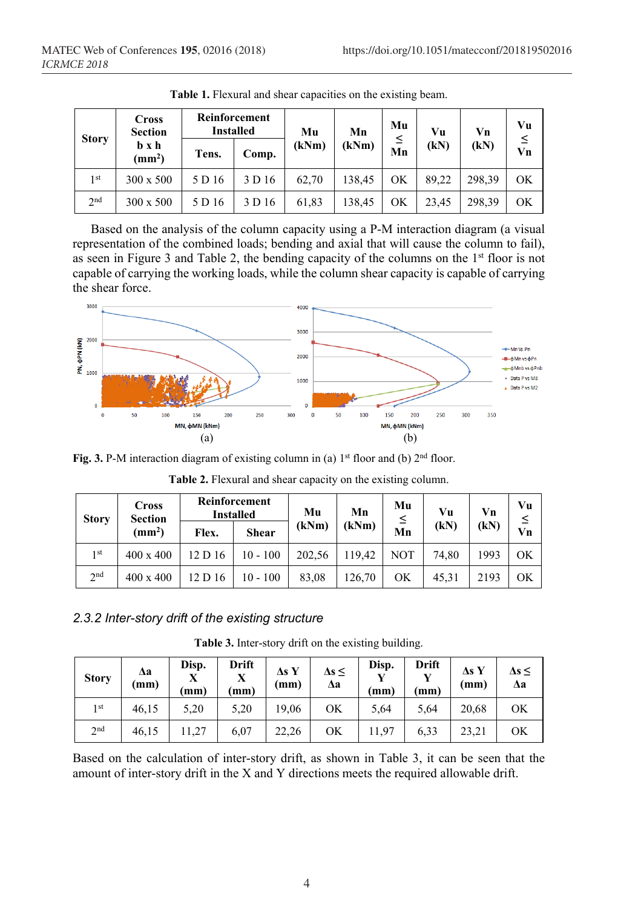| <b>Story</b>    | <b>Cross</b><br><b>Section</b>                       | Reinforcement<br><b>Installed</b> |        | Mu    | Mn     | Mu<br>≤ | Vu    | Vn     | Vu |
|-----------------|------------------------------------------------------|-----------------------------------|--------|-------|--------|---------|-------|--------|----|
|                 | $\mathbf{b} \times \mathbf{h}$<br>(mm <sup>2</sup> ) | Tens.                             | Comp.  | (kNm) | (kNm)  | Mn      | (kN)  | (kN)   | Vn |
| 1 <sup>st</sup> | $300 \times 500$                                     | 5 D 16                            | 3 D 16 | 62,70 | 138,45 | ΟK      | 89.22 | 298.39 | OK |
| 2 <sup>nd</sup> | $300 \times 500$                                     | 5 D 16                            | 3 D 16 | 61,83 | 138,45 | OK      | 23.45 | 298,39 | OK |

**Table 1.** Flexural and shear capacities on the existing beam.

Based on the analysis of the column capacity using a P-M interaction diagram (a visual representation of the combined loads; bending and axial that will cause the column to fail), as seen in Figure 3 and Table 2, the bending capacity of the columns on the  $1<sup>st</sup>$  floor is not capable of carrying the working loads, while the column shear capacity is capable of carrying the shear force.



Fig. 3. P-M interaction diagram of existing column in (a) 1<sup>st</sup> floor and (b) 2<sup>nd</sup> floor.

| Table 2. Flexural and shear capacity on the existing column. |  |  |
|--------------------------------------------------------------|--|--|
|--------------------------------------------------------------|--|--|

| <b>Story</b> | <b>Cross</b><br><b>Section</b> | Reinforcement<br><b>Installed</b> |              | Mu     | Mn     | Mu<br>$\leq$ | Vu    | Vn   | Vu |
|--------------|--------------------------------|-----------------------------------|--------------|--------|--------|--------------|-------|------|----|
|              | $\text{(mm}^2\text{)}$         | Flex.                             | <b>Shear</b> | (kNm)  | (kNm)  | Mn           | (kN)  | (kN) | Vn |
| 1 st         | $400 \times 400$               | 12 D 16                           | $10 - 100$   | 202.56 | 119.42 | NOT          | 74,80 | 1993 | OK |
| 2nd          | $400 \times 400$               | 12 D 16                           | 10 - 100     | 83,08  | 126.70 | OK           | 45.31 | 2193 | OK |

### *2.3.2 Inter-story drift of the existing structure*

**Table 3.** Inter-story drift on the existing building.

| <b>Story</b>    | Δa<br>(mm) | Disp.<br>X<br>mm | Drift<br>X<br>(mm) | $\Delta s$ Y<br>(mm) | $\Delta s \leq$<br>Δa | Disp.<br>(mm) | Drift<br>mm) | $\Delta s$ Y<br>(mm) | $\Delta s \leq$<br>Δa |
|-----------------|------------|------------------|--------------------|----------------------|-----------------------|---------------|--------------|----------------------|-----------------------|
| 1 <sup>st</sup> | 46,15      | 5,20             | 5,20               | 19,06                | OK                    | 5,64          | 5,64         | 20,68                | OK                    |
| 2 <sup>nd</sup> | 46.15      | 11,27            | 6,07               | 22,26                | ΟK                    | 11,97         | 6,33         | 23,21                | ОK                    |

Based on the calculation of inter-story drift, as shown in Table 3, it can be seen that the amount of inter-story drift in the X and Y directions meets the required allowable drift.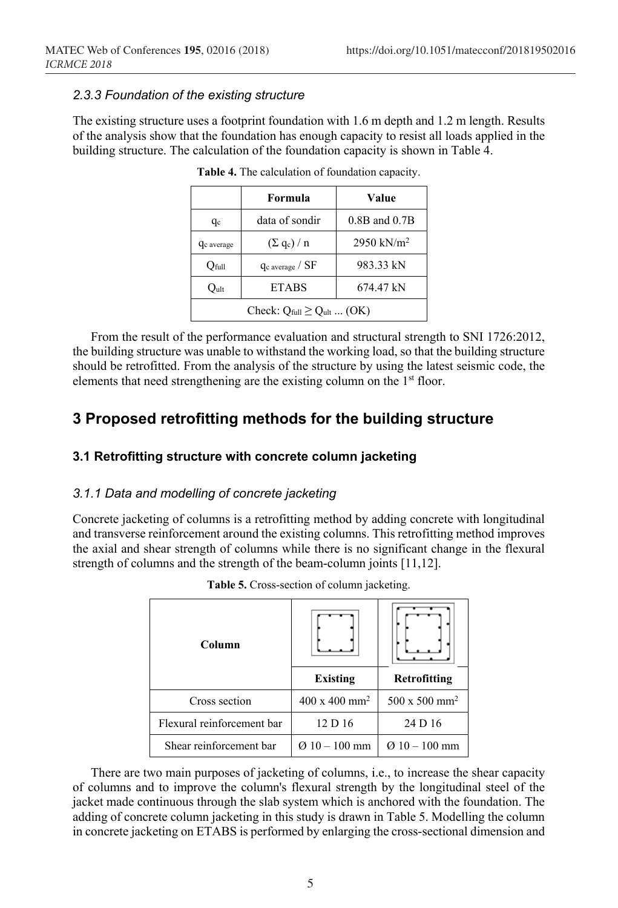### *2.3.3 Foundation of the existing structure*

The existing structure uses a footprint foundation with 1.6 m depth and 1.2 m length. Results of the analysis show that the foundation has enough capacity to resist all loads applied in the building structure. The calculation of the foundation capacity is shown in Table 4.

|                                    | Formula          | Value             |  |  |  |  |  |
|------------------------------------|------------------|-------------------|--|--|--|--|--|
| $q_c$                              | data of sondir   | $0.8B$ and $0.7B$ |  |  |  |  |  |
| <b>Q</b> c average                 | $(\Sigma q_c)/n$ | 2950 kN/ $m^2$    |  |  |  |  |  |
| $Q$ full                           | Qc average / SF  | 983.33 kN         |  |  |  |  |  |
| $Q_{ult}$                          | <b>ETABS</b>     | 674.47 kN         |  |  |  |  |  |
| Check: $Q_{full} \ge Q_{ult}$ (OK) |                  |                   |  |  |  |  |  |

**Table 4.** The calculation of foundation capacity.

From the result of the performance evaluation and structural strength to SNI 1726:2012, the building structure was unable to withstand the working load, so that the building structure should be retrofitted. From the analysis of the structure by using the latest seismic code, the elements that need strengthening are the existing column on the  $1<sup>st</sup>$  floor.

# **3 Proposed retrofitting methods for the building structure**

# **3.1 Retrofitting structure with concrete column jacketing**

# *3.1.1 Data and modelling of concrete jacketing*

Concrete jacketing of columns is a retrofitting method by adding concrete with longitudinal and transverse reinforcement around the existing columns. This retrofitting method improves the axial and shear strength of columns while there is no significant change in the flexural strength of columns and the strength of the beam-column joints [11,12].

| Column                     |                               |                               |  |  |
|----------------------------|-------------------------------|-------------------------------|--|--|
|                            | <b>Existing</b>               | Retrofitting                  |  |  |
| Cross section              | $400 \times 400 \text{ mm}^2$ | $500 \times 500 \text{ mm}^2$ |  |  |
| Flexural reinforcement bar | 12 D 16                       | 24 D 16                       |  |  |
| Shear reinforcement bar    | $Q_10 - 100$ mm               | $Q_10 - 100$ mm               |  |  |

**Table 5.** Cross-section of column jacketing.

There are two main purposes of jacketing of columns, i.e., to increase the shear capacity of columns and to improve the column's flexural strength by the longitudinal steel of the jacket made continuous through the slab system which is anchored with the foundation. The adding of concrete column jacketing in this study is drawn in Table 5. Modelling the column in concrete jacketing on ETABS is performed by enlarging the cross-sectional dimension and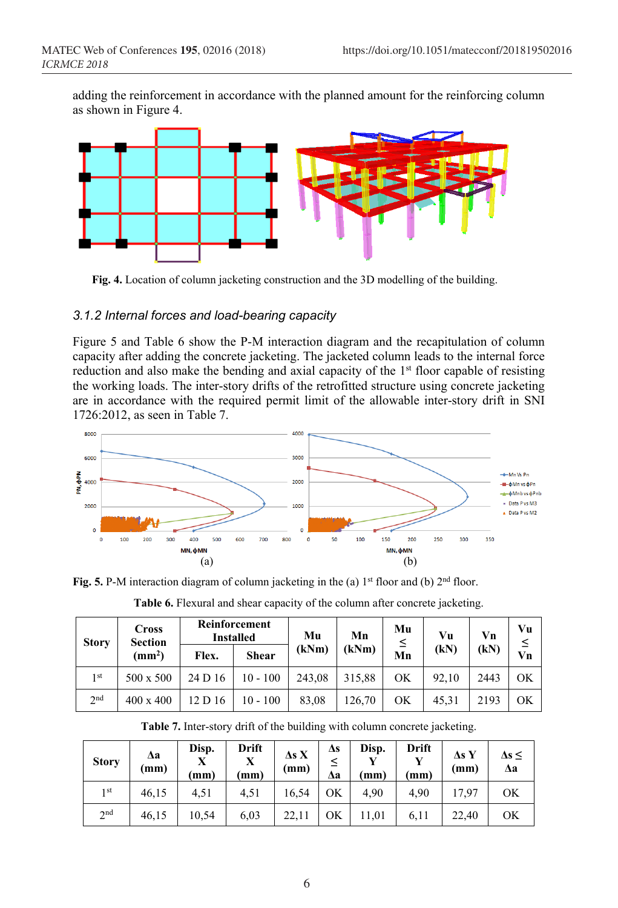adding the reinforcement in accordance with the planned amount for the reinforcing column as shown in Figure 4.



**Fig. 4.** Location of column jacketing construction and the 3D modelling of the building.

### *3.1.2 Internal forces and load-bearing capacity*

Figure 5 and Table 6 show the P-M interaction diagram and the recapitulation of column capacity after adding the concrete jacketing. The jacketed column leads to the internal force reduction and also make the bending and axial capacity of the  $1<sup>st</sup>$  floor capable of resisting the working loads. The inter-story drifts of the retrofitted structure using concrete jacketing are in accordance with the required permit limit of the allowable inter-story drift in SNI 1726:2012, as seen in Table 7.



Fig. 5. P-M interaction diagram of column jacketing in the (a) 1<sup>st</sup> floor and (b) 2<sup>nd</sup> floor.

| <b>Story</b>    | <b>Cross</b><br><b>Section</b> | Reinforcement<br>Installed |              | Mu     | Mn     | Mu<br>$\leq$ | Vu    | Vn   | Vu<br>$\leq$ |
|-----------------|--------------------------------|----------------------------|--------------|--------|--------|--------------|-------|------|--------------|
|                 | $\text{m}^2$                   | Flex.                      | <b>Shear</b> | (kNm)  | (kNm)  | Mn           | (kN)  | (kN) | Vn           |
| 1 <sup>st</sup> | $500 \times 500$               | 24 D 16                    | $10 - 100$   | 243.08 | 315,88 | OK           | 92.10 | 2443 | ΟK           |
| 2 <sup>nd</sup> | $400 \times 400$               | 12 D 16                    | $10 - 100$   | 83,08  | 126,70 | OK           | 45.31 | 2193 | ΟK           |

**Table 6.** Flexural and shear capacity of the column after concrete jacketing.

|  |  | Table 7. Inter-story drift of the building with column concrete jacketing. |  |
|--|--|----------------------------------------------------------------------------|--|
|  |  |                                                                            |  |

| <b>Story</b>    | Δa<br>(mm) | Disp.<br>X<br>(mm) | Drift<br>(mm) | $\Delta s X$<br>(mm) | Δs<br>≤<br>Δa | Disp.<br>(mm) | Drift<br>(mm) | $\Delta s$ Y<br>(mm) | $\Delta s \leq$<br>Δa |
|-----------------|------------|--------------------|---------------|----------------------|---------------|---------------|---------------|----------------------|-----------------------|
| 1 st            | 46.15      | 4.51               | 4.51          | 16,54                | ΟK            | 4.90          | 4.90          | 17,97                | OK                    |
| 2 <sup>nd</sup> | 46,15      | 10,54              | 6,03          | 22,11                | ΟK            | 11,01         | 6,11          | 22,40                | OK                    |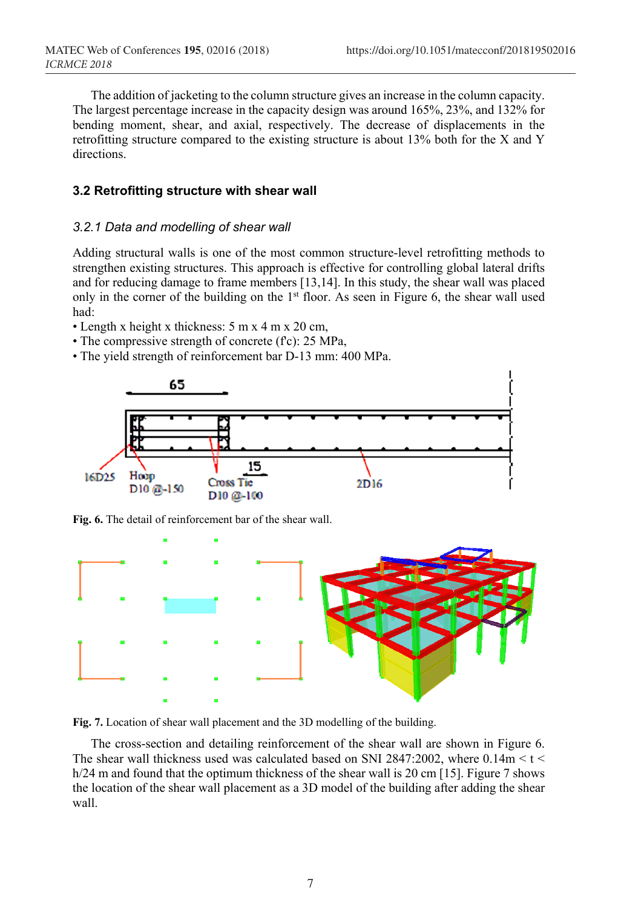The addition of jacketing to the column structure gives an increase in the column capacity. The largest percentage increase in the capacity design was around 165%, 23%, and 132% for bending moment, shear, and axial, respectively. The decrease of displacements in the retrofitting structure compared to the existing structure is about 13% both for the X and Y directions.

### **3.2 Retrofitting structure with shear wall**

#### *3.2.1 Data and modelling of shear wall*

Adding structural walls is one of the most common structure-level retrofitting methods to strengthen existing structures. This approach is effective for controlling global lateral drifts and for reducing damage to frame members [13,14]. In this study, the shear wall was placed only in the corner of the building on the  $1<sup>st</sup>$  floor. As seen in Figure 6, the shear wall used had:

- Length x height x thickness: 5 m x 4 m x 20 cm,
- The compressive strength of concrete (fc): 25 MPa,
- The yield strength of reinforcement bar D-13 mm: 400 MPa.



**Fig. 6.** The detail of reinforcement bar of the shear wall.



**Fig. 7.** Location of shear wall placement and the 3D modelling of the building.

The cross-section and detailing reinforcement of the shear wall are shown in Figure 6. The shear wall thickness used was calculated based on SNI 2847:2002, where  $0.14m < t <$ h/24 m and found that the optimum thickness of the shear wall is 20 cm [15]. Figure 7 shows the location of the shear wall placement as a 3D model of the building after adding the shear wall.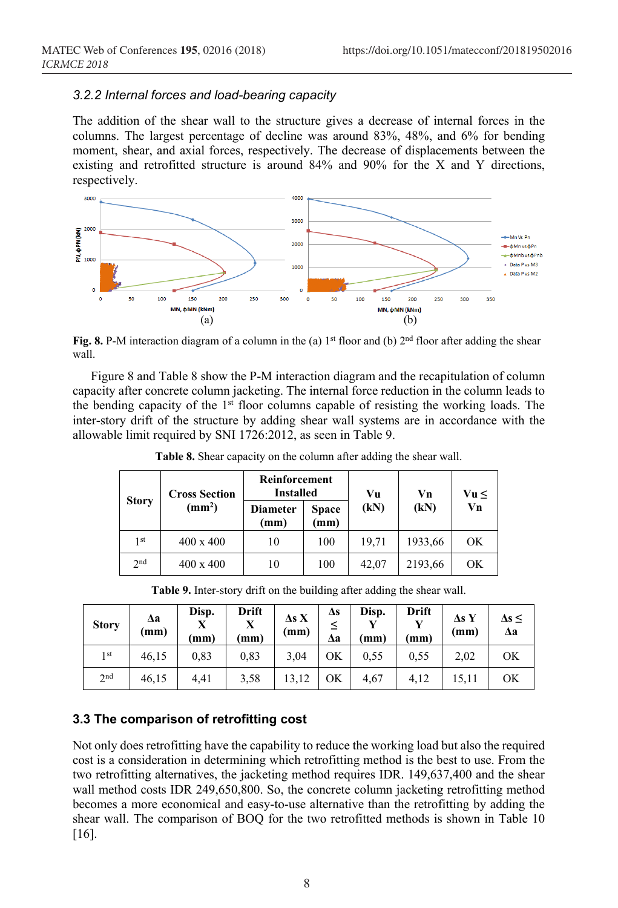# *3.2.2 Internal forces and load-bearing capacity*

The addition of the shear wall to the structure gives a decrease of internal forces in the columns. The largest percentage of decline was around 83%, 48%, and 6% for bending moment, shear, and axial forces, respectively. The decrease of displacements between the existing and retrofitted structure is around 84% and 90% for the X and Y directions, respectively.



**Fig. 8.** P-M interaction diagram of a column in the (a)  $1<sup>st</sup>$  floor and (b)  $2<sup>nd</sup>$  floor after adding the shear wall.

Figure 8 and Table 8 show the P-M interaction diagram and the recapitulation of column capacity after concrete column jacketing. The internal force reduction in the column leads to the bending capacity of the 1st floor columns capable of resisting the working loads. The inter-story drift of the structure by adding shear wall systems are in accordance with the allowable limit required by SNI 1726:2012, as seen in Table 9.

| <b>Story</b>    | <b>Cross Section</b> | Reinforcement<br><b>Installed</b> |                      | Vu    | Vn      | $Vu \leq$ |
|-----------------|----------------------|-----------------------------------|----------------------|-------|---------|-----------|
|                 | (mm <sup>2</sup> )   | <b>Diameter</b><br>(mm)           | <b>Space</b><br>(mm) | (kN)  | (kN)    | Vn        |
| 1st             | $400 \times 400$     | 10                                | 100                  | 19,71 | 1933,66 | OK        |
| 2 <sub>nd</sub> | $400 \times 400$     | 10                                | 100                  | 42,07 | 2193,66 | OK        |

**Table 8.** Shear capacity on the column after adding the shear wall.

| <b>Story</b>    | $\Delta a$<br>(mm) | Disp.<br>X<br>(mm) | Drift<br>X<br>(mm) | $\Delta s X$<br>(mm) | $\Delta s$<br>≤<br>Δa | Disp.<br>(mm) | Drift<br>(mm | $\Delta s$ Y<br>(mm) | $\Delta s \leq$<br>Δa |
|-----------------|--------------------|--------------------|--------------------|----------------------|-----------------------|---------------|--------------|----------------------|-----------------------|
| 1 <sub>st</sub> | 46.15              | 0,83               | 0,83               | 3,04                 | OK                    | 0.55          | 0.55         | 2,02                 | OK                    |
| 2 <sup>nd</sup> | 46,15              | 4,41               | 3,58               | 13,12                | OK                    | 4,67          | 4,12         | 15,11                | OK                    |

**Table 9.** Inter-story drift on the building after adding the shear wall.

# **3.3 The comparison of retrofitting cost**

Not only does retrofitting have the capability to reduce the working load but also the required cost is a consideration in determining which retrofitting method is the best to use. From the two retrofitting alternatives, the jacketing method requires IDR. 149,637,400 and the shear wall method costs IDR 249,650,800. So, the concrete column jacketing retrofitting method becomes a more economical and easy-to-use alternative than the retrofitting by adding the shear wall. The comparison of BOQ for the two retrofitted methods is shown in Table 10 [16].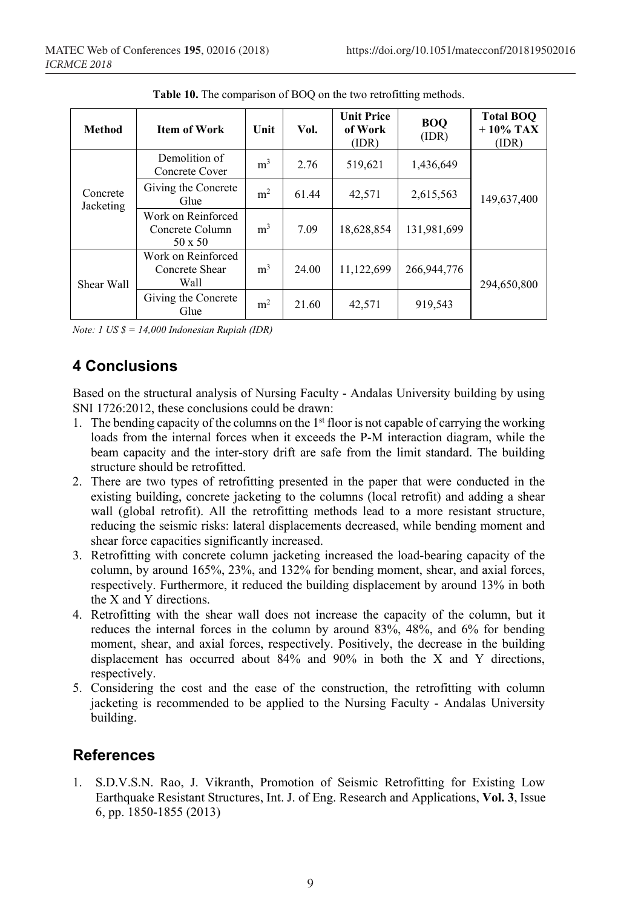| Method                | <b>Item of Work</b>                                     | Unit           | Vol.  | <b>Unit Price</b><br>of Work<br>(IDR) | <b>BOQ</b><br>(IDR) | <b>Total BOO</b><br>$+10\%$ TAX<br>(IDR) |
|-----------------------|---------------------------------------------------------|----------------|-------|---------------------------------------|---------------------|------------------------------------------|
| Concrete<br>Jacketing | Demolition of<br>Concrete Cover                         | m <sup>3</sup> | 2.76  | 519,621                               | 1,436,649           |                                          |
|                       | Giving the Concrete<br>Glue                             | m <sup>2</sup> | 61.44 | 42,571                                | 2,615,563           | 149,637,400                              |
|                       | Work on Reinforced<br>Concrete Column<br>$50 \times 50$ | m <sup>3</sup> | 7.09  | 18,628,854                            | 131,981,699         |                                          |
| Shear Wall            | Work on Reinforced<br>Concrete Shear<br>Wall            | m <sup>3</sup> | 24.00 | 11,122,699                            | 266,944,776         | 294,650,800                              |
|                       | Giving the Concrete<br>Glue                             | m <sup>2</sup> | 21.60 | 42,571                                | 919,543             |                                          |

| Table 10. The comparison of BOQ on the two retrofitting methods. |  |  |  |
|------------------------------------------------------------------|--|--|--|
|                                                                  |  |  |  |

*Note: 1 US \$ = 14,000 Indonesian Rupiah (IDR)* 

# **4 Conclusions**

Based on the structural analysis of Nursing Faculty - Andalas University building by using SNI 1726:2012, these conclusions could be drawn:

- 1. The bending capacity of the columns on the 1<sup>st</sup> floor is not capable of carrying the working loads from the internal forces when it exceeds the P-M interaction diagram, while the beam capacity and the inter-story drift are safe from the limit standard. The building structure should be retrofitted.
- 2. There are two types of retrofitting presented in the paper that were conducted in the existing building, concrete jacketing to the columns (local retrofit) and adding a shear wall (global retrofit). All the retrofitting methods lead to a more resistant structure, reducing the seismic risks: lateral displacements decreased, while bending moment and shear force capacities significantly increased.
- 3. Retrofitting with concrete column jacketing increased the load-bearing capacity of the column, by around 165%, 23%, and 132% for bending moment, shear, and axial forces, respectively. Furthermore, it reduced the building displacement by around 13% in both the X and Y directions.
- 4. Retrofitting with the shear wall does not increase the capacity of the column, but it reduces the internal forces in the column by around 83%, 48%, and 6% for bending moment, shear, and axial forces, respectively. Positively, the decrease in the building displacement has occurred about 84% and 90% in both the X and Y directions, respectively.
- 5. Considering the cost and the ease of the construction, the retrofitting with column jacketing is recommended to be applied to the Nursing Faculty - Andalas University building.

# **References**

1. S.D.V.S.N. Rao, J. Vikranth, Promotion of Seismic Retrofitting for Existing Low 6, pp. 1850-1855 (2013) Earthquake Resistant Structures, Int. J. of Eng. Research and Applications, **Vol. 3**, Issue